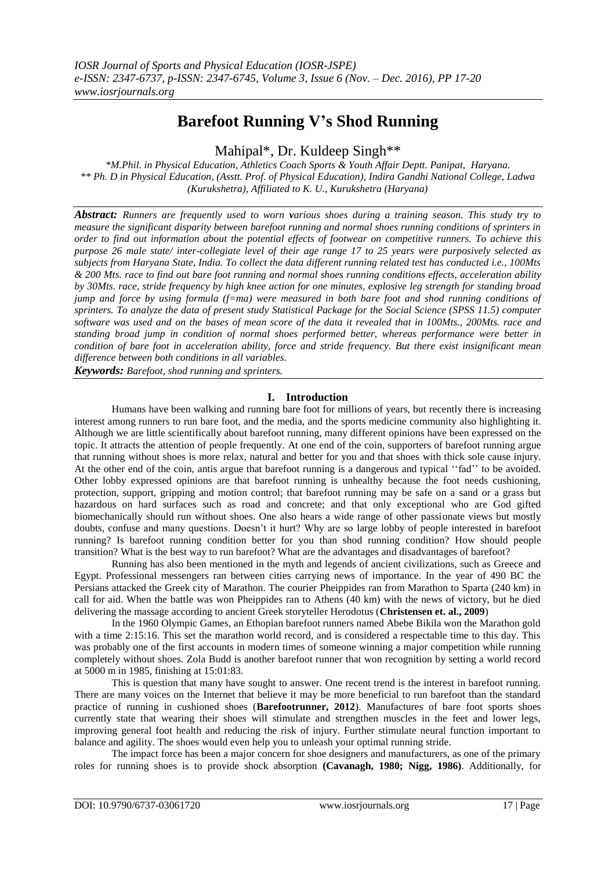# **Barefoot Running V's Shod Running**

Mahipal\*, Dr. Kuldeep Singh\*\*

*\*M.Phil. in Physical Education, Athletics Coach Sports & Youth Affair Deptt. Panipat, Haryana. \*\* Ph. D in Physical Education, (Asstt. Prof. of Physical Education), Indira Gandhi National College, Ladwa (Kurukshetra), Affiliated to K. U., Kurukshetra (Haryana)*

*Abstract: Runners are frequently used to worn various shoes during a training season. This study try to measure the significant disparity between barefoot running and normal shoes running conditions of sprinters in order to find out information about the potential effects of footwear on competitive runners. To achieve this purpose 26 male state/ inter-collegiate level of their age range 17 to 25 years were purposively selected as subjects from Haryana State, India. To collect the data different running related test has conducted i.e., 100Mts & 200 Mts. race to find out bare foot running and normal shoes running conditions effects, acceleration ability by 30Mts. race, stride frequency by high knee action for one minutes, explosive leg strength for standing broad jump and force by using formula (f=ma) were measured in both bare foot and shod running conditions of sprinters. To analyze the data of present study Statistical Package for the Social Science (SPSS 11.5) computer software was used and on the bases of mean score of the data it revealed that in 100Mts., 200Mts. race and standing broad jump in condition of normal shoes performed better, whereas performance were better in condition of bare foot in acceleration ability, force and stride frequency. But there exist insignificant mean difference between both conditions in all variables.* 

*Keywords: Barefoot, shod running and sprinters.*

## **I. Introduction**

Humans have been walking and running bare foot for millions of years, but recently there is increasing interest among runners to run bare foot, and the media, and the sports medicine community also highlighting it. Although we are little scientifically about barefoot running, many different opinions have been expressed on the topic. It attracts the attention of people frequently. At one end of the coin, supporters of barefoot running argue that running without shoes is more relax, natural and better for you and that shoes with thick sole cause injury. At the other end of the coin, antis argue that barefoot running is a dangerous and typical ""fad"" to be avoided. Other lobby expressed opinions are that barefoot running is unhealthy because the foot needs cushioning, protection, support, gripping and motion control; that barefoot running may be safe on a sand or a grass but hazardous on hard surfaces such as road and concrete; and that only exceptional who are God gifted biomechanically should run without shoes. One also hears a wide range of other passionate views but mostly doubts, confuse and many questions. Doesn"t it hurt? Why are so large lobby of people interested in barefoot running? Is barefoot running condition better for you than shod running condition? How should people transition? What is the best way to run barefoot? What are the advantages and disadvantages of barefoot?

Running has also been mentioned in the myth and legends of ancient civilizations, such as Greece and Egypt. Professional messengers ran between cities carrying news of importance. In the year of 490 BC the Persians attacked the Greek city of Marathon. The courier Pheippides ran from Marathon to Sparta (240 km) in call for aid. When the battle was won Pheippides ran to Athens (40 km) with the news of victory, but he died delivering the massage according to ancient Greek storyteller Herodotus (**Christensen et. al., 2009**)

In the 1960 Olympic Games, an Ethopian barefoot runners named Abebe Bikila won the Marathon gold with a time 2:15:16. This set the marathon world record, and is considered a respectable time to this day. This was probably one of the first accounts in modern times of someone winning a major competition while running completely without shoes. Zola Budd is another barefoot runner that won recognition by setting a world record at 5000 m in 1985, finishing at 15:01:83.

This is question that many have sought to answer. One recent trend is the interest in barefoot running. There are many voices on the Internet that believe it may be more beneficial to run barefoot than the standard practice of running in cushioned shoes (**Barefootrunner, 2012**). Manufactures of bare foot sports shoes currently state that wearing their shoes will stimulate and strengthen muscles in the feet and lower legs, improving general foot health and reducing the risk of injury. Further stimulate neural function important to balance and agility. The shoes would even help you to unleash your optimal running stride.

The impact force has been a major concern for shoe designers and manufacturers, as one of the primary roles for running shoes is to provide shock absorption **(Cavanagh, 1980; Nigg, 1986)**. Additionally, for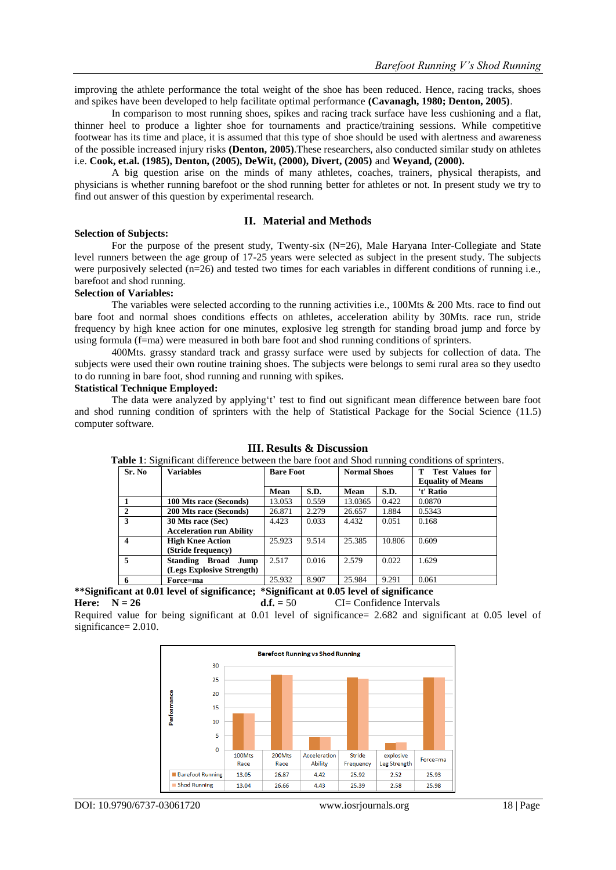improving the athlete performance the total weight of the shoe has been reduced. Hence, racing tracks, shoes and spikes have been developed to help facilitate optimal performance **(Cavanagh, 1980; Denton, 2005)**.

In comparison to most running shoes, spikes and racing track surface have less cushioning and a flat, thinner heel to produce a lighter shoe for tournaments and practice/training sessions. While competitive footwear has its time and place, it is assumed that this type of shoe should be used with alertness and awareness of the possible increased injury risks **(Denton, 2005)**.These researchers, also conducted similar study on athletes i.e. **Cook, et.al. (1985), Denton, (2005), DeWit, (2000), Divert, (2005)** and **Weyand, (2000).**

A big question arise on the minds of many athletes, coaches, trainers, physical therapists, and physicians is whether running barefoot or the shod running better for athletes or not. In present study we try to find out answer of this question by experimental research.

## **II. Material and Methods**

#### **Selection of Subjects:**

For the purpose of the present study, Twenty-six (N=26), Male Haryana Inter-Collegiate and State level runners between the age group of 17-25 years were selected as subject in the present study. The subjects were purposively selected (n=26) and tested two times for each variables in different conditions of running i.e., barefoot and shod running.

## **Selection of Variables:**

The variables were selected according to the running activities i.e., 100Mts & 200 Mts. race to find out bare foot and normal shoes conditions effects on athletes, acceleration ability by 30Mts. race run, stride frequency by high knee action for one minutes, explosive leg strength for standing broad jump and force by using formula (f=ma) were measured in both bare foot and shod running conditions of sprinters.

400Mts. grassy standard track and grassy surface were used by subjects for collection of data. The subjects were used their own routine training shoes. The subjects were belongs to semi rural area so they usedto to do running in bare foot, shod running and running with spikes.

### **Statistical Technique Employed:**

The data were analyzed by applying't' test to find out significant mean difference between bare foot and shod running condition of sprinters with the help of Statistical Package for the Social Science (11.5) computer software.

| Sr. No       | <b>Variables</b>                                     | <b>Bare Foot</b> |       | <b>Normal Shoes</b> |        | <b>T</b> Test Values for<br><b>Equality of Means</b> |
|--------------|------------------------------------------------------|------------------|-------|---------------------|--------|------------------------------------------------------|
|              |                                                      | Mean             | S.D.  | Mean                | S.D.   | 't' Ratio                                            |
|              | 100 Mts race (Seconds)                               | 13.053           | 0.559 | 13.0365             | 0.422  | 0.0870                                               |
| $\mathbf{2}$ | <b>200 Mts race (Seconds)</b>                        | 26.871           | 2.279 | 26.657              | 1.884  | 0.5343                                               |
| 3            | 30 Mts race (Sec)<br><b>Acceleration run Ability</b> | 4.423            | 0.033 | 4.432               | 0.051  | 0.168                                                |
| 4            | <b>High Knee Action</b><br>(Stride frequency)        | 25.923           | 9.514 | 25.385              | 10.806 | 0.609                                                |
| 5            | Standing Broad Jump<br>(Legs Explosive Strength)     | 2.517            | 0.016 | 2.579               | 0.022  | 1.629                                                |
| 6            | Force=ma                                             | 25.932           | 8.907 | 25.984              | 9.291  | 0.061                                                |

#### **III. Results & Discussion**

**Table 1**: Significant difference between the bare foot and Shod running conditions of sprinters.

**\*\*Significant at 0.01 level of significance; \*Significant at 0.05 level of significance**

**Here:**  $N = 26$  **d.f.** = 50 CI= Confidence Intervals

Required value for being significant at 0.01 level of significance= 2.682 and significant at 0.05 level of significance= 2.010.

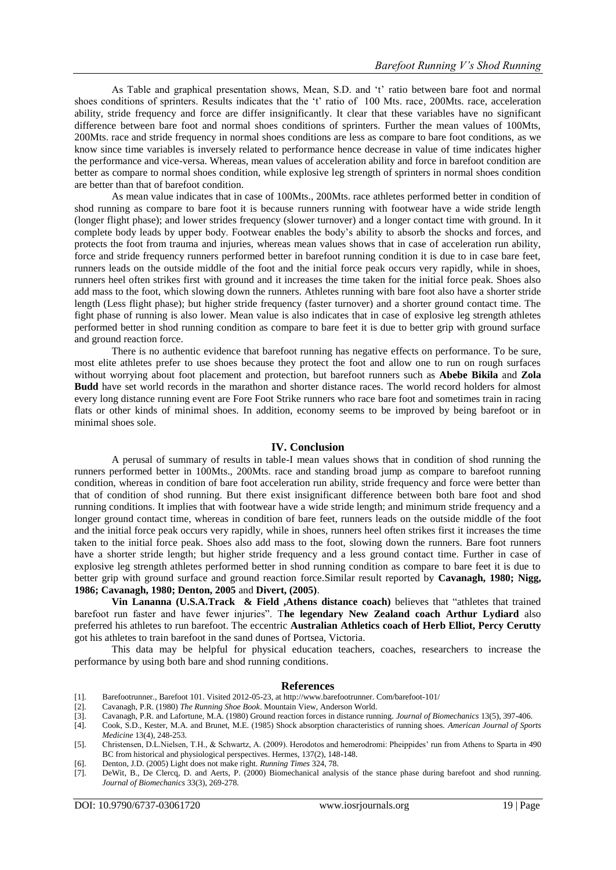As Table and graphical presentation shows, Mean, S.D. and "t" ratio between bare foot and normal shoes conditions of sprinters. Results indicates that the 't' ratio of 100 Mts. race, 200Mts. race, acceleration ability, stride frequency and force are differ insignificantly. It clear that these variables have no significant difference between bare foot and normal shoes conditions of sprinters. Further the mean values of 100Mts, 200Mts. race and stride frequency in normal shoes conditions are less as compare to bare foot conditions, as we know since time variables is inversely related to performance hence decrease in value of time indicates higher the performance and vice-versa. Whereas, mean values of acceleration ability and force in barefoot condition are better as compare to normal shoes condition, while explosive leg strength of sprinters in normal shoes condition are better than that of barefoot condition.

As mean value indicates that in case of 100Mts., 200Mts. race athletes performed better in condition of shod running as compare to bare foot it is because runners running with footwear have a wide stride length (longer flight phase); and lower strides frequency (slower turnover) and a longer contact time with ground. In it complete body leads by upper body. Footwear enables the body"s ability to absorb the shocks and forces, and protects the foot from trauma and injuries, whereas mean values shows that in case of acceleration run ability, force and stride frequency runners performed better in barefoot running condition it is due to in case bare feet, runners leads on the outside middle of the foot and the initial force peak occurs very rapidly, while in shoes, runners heel often strikes first with ground and it increases the time taken for the initial force peak. Shoes also add mass to the foot, which slowing down the runners. Athletes running with bare foot also have a shorter stride length (Less flight phase); but higher stride frequency (faster turnover) and a shorter ground contact time. The fight phase of running is also lower. Mean value is also indicates that in case of explosive leg strength athletes performed better in shod running condition as compare to bare feet it is due to better grip with ground surface and ground reaction force.

There is no authentic evidence that barefoot running has negative effects on performance. To be sure, most elite athletes prefer to use shoes because they protect the foot and allow one to run on rough surfaces without worrying about foot placement and protection, but barefoot runners such as **Abebe Bikila** and **Zola Budd** have set world records in the marathon and shorter distance races. The world record holders for almost every long distance running event are Fore Foot Strike runners who race bare foot and sometimes train in racing flats or other kinds of minimal shoes. In addition, economy seems to be improved by being barefoot or in minimal shoes sole.

## **IV. Conclusion**

A perusal of summary of results in table-I mean values shows that in condition of shod running the runners performed better in 100Mts., 200Mts. race and standing broad jump as compare to barefoot running condition, whereas in condition of bare foot acceleration run ability, stride frequency and force were better than that of condition of shod running. But there exist insignificant difference between both bare foot and shod running conditions. It implies that with footwear have a wide stride length; and minimum stride frequency and a longer ground contact time, whereas in condition of bare feet, runners leads on the outside middle of the foot and the initial force peak occurs very rapidly, while in shoes, runners heel often strikes first it increases the time taken to the initial force peak. Shoes also add mass to the foot, slowing down the runners. Bare foot runners have a shorter stride length; but higher stride frequency and a less ground contact time. Further in case of explosive leg strength athletes performed better in shod running condition as compare to bare feet it is due to better grip with ground surface and ground reaction force.Similar result reported by **Cavanagh, 1980; Nigg, 1986; Cavanagh, 1980; Denton, 2005** and **Divert, (2005)**.

**Vin Lananna (U.S.A.Track & Field ,Athens distance coach)** believes that "athletes that trained barefoot run faster and have fewer injuries". T**he legendary New Zealand coach Arthur Lydiard** also preferred his athletes to run barefoot. The eccentric **Australian Athletics coach of Herb Elliot, Percy Cerutty** got his athletes to train barefoot in the sand dunes of Portsea, Victoria.

This data may be helpful for physical education teachers, coaches, researchers to increase the performance by using both bare and shod running conditions.

#### **References**

- [1]. Barefootrunner., Barefoot 101. Visited 2012-05-23, a[t http://www.barefootrunner.](http://www.barefootrunner/) Com/barefoot-101/
- [2]. Cavanagh, P.R. (1980) *The Running Shoe Book*. Mountain View, Anderson World.
- [3]. Cavanagh, P.R. and Lafortune, M.A. (1980) Ground reaction forces in distance running. *Journal of Biomechanics* 13(5), 397-406.
- [4]. Cook, S.D., Kester, M.A. and Brunet, M.E. (1985) Shock absorption characteristics of running shoes. *American Journal of Sports Medicine* 13(4), 248-253.

- [6]. Denton, J.D. (2005) Light does not make right. *Running Times* 324, 78.
- [7]. DeWit, B., De Clercq, D. and Aerts, P. (2000) Biomechanical analysis of the stance phase during barefoot and shod running. *Journal of Biomechanics* 33(3), 269-278.

<sup>[5].</sup> Christensen, D.L.Nielsen, T.H., & Schwartz, A. (2009). Herodotos and hemerodromi: Pheippides" run from Athens to Sparta in 490 BC from historical and physiological perspectives. Hermes, 137(2), 148-148.